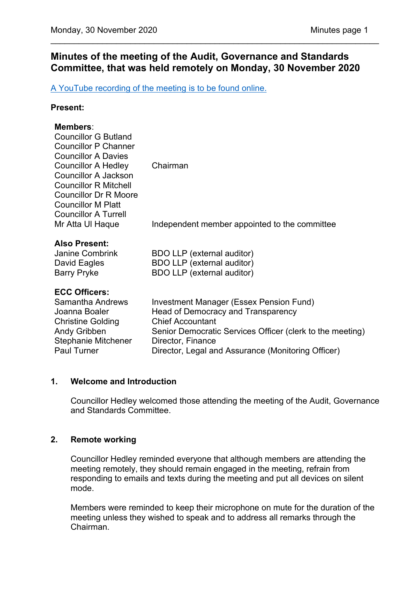# **Minutes of the meeting of the Audit, Governance and Standards Committee, that was held remotely on Monday, 30 November 2020**

\_\_\_\_\_\_\_\_\_\_\_\_\_\_\_\_\_\_\_\_\_\_\_\_\_\_\_\_\_\_\_\_\_\_\_\_\_\_\_\_\_\_\_\_\_\_\_\_\_\_\_\_\_\_\_\_\_\_\_\_\_\_\_\_\_\_\_\_\_\_

[A YouTube recording of the meeting is to be found online.](https://www.youtube.com/watch?v=ImkkR1-dG18)

### **Present:**

### **Members**:

| <b>Councillor G Butland</b><br><b>Councillor P Channer</b><br><b>Councillor A Davies</b><br><b>Councillor A Hedley</b><br><b>Councillor A Jackson</b><br><b>Councillor R Mitchell</b><br><b>Councillor Dr R Moore</b><br><b>Councillor M Platt</b><br><b>Councillor A Turrell</b> | Chairman                                                                                                                                                                                                                                         |
|-----------------------------------------------------------------------------------------------------------------------------------------------------------------------------------------------------------------------------------------------------------------------------------|--------------------------------------------------------------------------------------------------------------------------------------------------------------------------------------------------------------------------------------------------|
| Mr Atta UI Haque                                                                                                                                                                                                                                                                  | Independent member appointed to the committee                                                                                                                                                                                                    |
| <b>Also Present:</b><br><b>Janine Combrink</b><br>David Eagles<br><b>Barry Pryke</b>                                                                                                                                                                                              | BDO LLP (external auditor)<br><b>BDO LLP</b> (external auditor)<br><b>BDO LLP</b> (external auditor)                                                                                                                                             |
| <b>ECC Officers:</b><br>Samantha Andrews<br>Joanna Boaler<br><b>Christine Golding</b><br><b>Andy Gribben</b><br>Stephanie Mitchener<br><b>Paul Turner</b>                                                                                                                         | Investment Manager (Essex Pension Fund)<br>Head of Democracy and Transparency<br><b>Chief Accountant</b><br>Senior Democratic Services Officer (clerk to the meeting)<br>Director, Finance<br>Director, Legal and Assurance (Monitoring Officer) |

## **1. Welcome and Introduction**

Councillor Hedley welcomed those attending the meeting of the Audit, Governance and Standards Committee.

## **2. Remote working**

Councillor Hedley reminded everyone that although members are attending the meeting remotely, they should remain engaged in the meeting, refrain from responding to emails and texts during the meeting and put all devices on silent mode.

Members were reminded to keep their microphone on mute for the duration of the meeting unless they wished to speak and to address all remarks through the Chairman.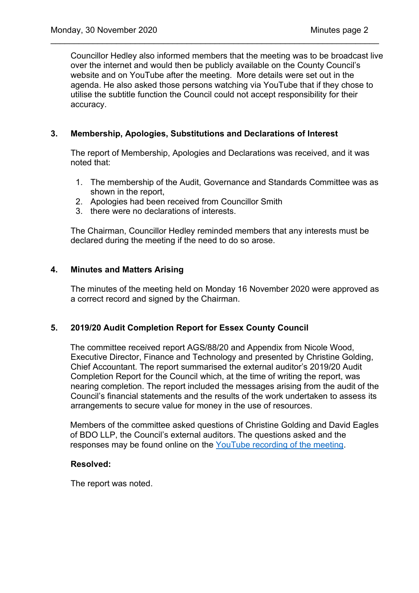Councillor Hedley also informed members that the meeting was to be broadcast live over the internet and would then be publicly available on the County Council's website and on YouTube after the meeting. More details were set out in the agenda. He also asked those persons watching via YouTube that if they chose to utilise the subtitle function the Council could not accept responsibility for their accuracy.

\_\_\_\_\_\_\_\_\_\_\_\_\_\_\_\_\_\_\_\_\_\_\_\_\_\_\_\_\_\_\_\_\_\_\_\_\_\_\_\_\_\_\_\_\_\_\_\_\_\_\_\_\_\_\_\_\_\_\_\_\_\_\_\_\_\_\_\_\_\_

## **3. Membership, Apologies, Substitutions and Declarations of Interest**

The report of Membership, Apologies and Declarations was received, and it was noted that:

- 1. The membership of the Audit, Governance and Standards Committee was as shown in the report,
- 2. Apologies had been received from Councillor Smith
- 3. there were no declarations of interests.

The Chairman, Councillor Hedley reminded members that any interests must be declared during the meeting if the need to do so arose.

## **4. Minutes and Matters Arising**

 The minutes of the meeting held on Monday 16 November 2020 were approved as a correct record and signed by the Chairman.

## **5. 2019/20 Audit Completion Report for Essex County Council**

The committee received report AGS/88/20 and Appendix from Nicole Wood, Executive Director, Finance and Technology and presented by Christine Golding, Chief Accountant. The report summarised the external auditor's 2019/20 Audit Completion Report for the Council which, at the time of writing the report, was nearing completion. The report included the messages arising from the audit of the Council's financial statements and the results of the work undertaken to assess its arrangements to secure value for money in the use of resources.

Members of the committee asked questions of Christine Golding and David Eagles of BDO LLP, the Council's external auditors. The questions asked and the responses may be found online on the [YouTube recording of the meeting.](https://www.youtube.com/watch?v=ImkkR1-dG18)

## **Resolved:**

The report was noted.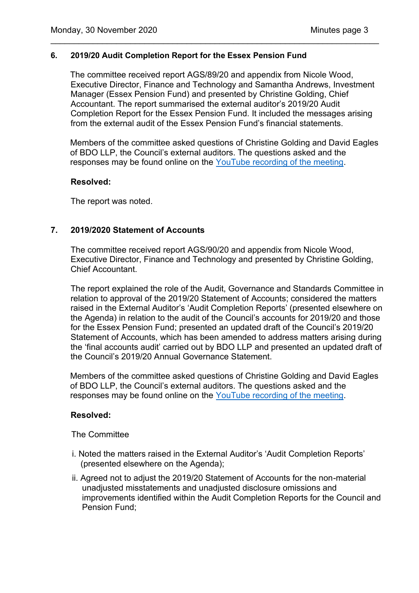### **6. 2019/20 Audit Completion Report for the Essex Pension Fund**

The committee received report AGS/89/20 and appendix from Nicole Wood, Executive Director, Finance and Technology and Samantha Andrews, Investment Manager (Essex Pension Fund) and presented by Christine Golding, Chief Accountant. The report summarised the external auditor's 2019/20 Audit Completion Report for the Essex Pension Fund. It included the messages arising from the external audit of the Essex Pension Fund's financial statements.

\_\_\_\_\_\_\_\_\_\_\_\_\_\_\_\_\_\_\_\_\_\_\_\_\_\_\_\_\_\_\_\_\_\_\_\_\_\_\_\_\_\_\_\_\_\_\_\_\_\_\_\_\_\_\_\_\_\_\_\_\_\_\_\_\_\_\_\_\_\_

Members of the committee asked questions of Christine Golding and David Eagles of BDO LLP, the Council's external auditors. The questions asked and the responses may be found online on the [YouTube recording of the meeting.](https://www.youtube.com/watch?v=ImkkR1-dG18)

#### **Resolved:**

The report was noted.

## **7. 2019/2020 Statement of Accounts**

The committee received report AGS/90/20 and appendix from Nicole Wood, Executive Director, Finance and Technology and presented by Christine Golding, Chief Accountant.

The report explained the role of the Audit, Governance and Standards Committee in relation to approval of the 2019/20 Statement of Accounts; considered the matters raised in the External Auditor's 'Audit Completion Reports' (presented elsewhere on the Agenda) in relation to the audit of the Council's accounts for 2019/20 and those for the Essex Pension Fund; presented an updated draft of the Council's 2019/20 Statement of Accounts, which has been amended to address matters arising during the 'final accounts audit' carried out by BDO LLP and presented an updated draft of the Council's 2019/20 Annual Governance Statement.

Members of the committee asked questions of Christine Golding and David Eagles of BDO LLP, the Council's external auditors. The questions asked and the responses may be found online on the [YouTube recording of the meeting.](https://www.youtube.com/watch?v=ImkkR1-dG18)

#### **Resolved:**

The Committee

- i. Noted the matters raised in the External Auditor's 'Audit Completion Reports' (presented elsewhere on the Agenda);
- ii. Agreed not to adjust the 2019/20 Statement of Accounts for the non-material unadjusted misstatements and unadjusted disclosure omissions and improvements identified within the Audit Completion Reports for the Council and Pension Fund;